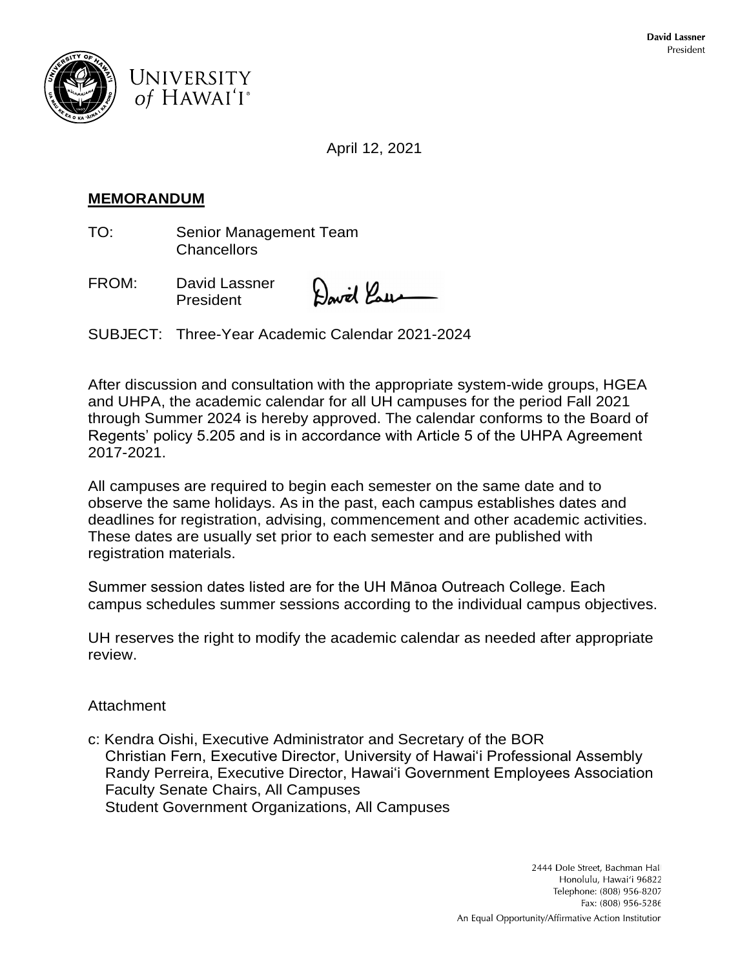



April 12, 2021

# **MEMORANDUM**

TO: Senior Management Team **Chancellors** 

FROM: David Lassner President

with Paus

SUBJECT: Three-Year Academic Calendar 2021-2024

After discussion and consultation with the appropriate system-wide groups, HGEA and UHPA, the academic calendar for all UH campuses for the period Fall 2021 through Summer 2024 is hereby approved. The calendar conforms to the Board of Regents' policy 5.205 and is in accordance with Article 5 of the UHPA Agreement 2017-2021.

All campuses are required to begin each semester on the same date and to observe the same holidays. As in the past, each campus establishes dates and deadlines for registration, advising, commencement and other academic activities. These dates are usually set prior to each semester and are published with registration materials.

Summer session dates listed are for the UH Mānoa Outreach College. Each campus schedules summer sessions according to the individual campus objectives.

UH reserves the right to modify the academic calendar as needed after appropriate review.

### **Attachment**

c: Kendra Oishi, Executive Administrator and Secretary of the BOR Christian Fern, Executive Director, University of Hawai'i Professional Assembly Randy Perreira, Executive Director, Hawai'i Government Employees Association Faculty Senate Chairs, All Campuses Student Government Organizations, All Campuses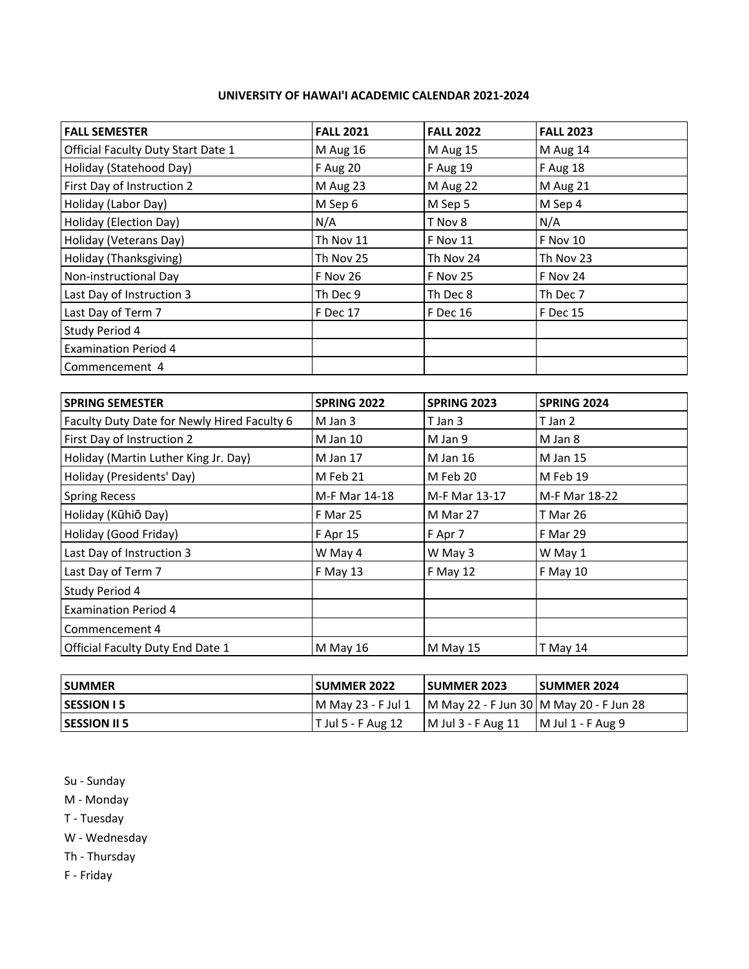#### **UNIVERSITY OF HAWAI'I ACADEMIC CALENDAR 2021-2024**

| <b>FALL SEMESTER</b>               | <b>FALL 2021</b> | <b>FALL 2022</b> | <b>FALL 2023</b> |
|------------------------------------|------------------|------------------|------------------|
| Official Faculty Duty Start Date 1 | M Aug 16         | M Aug 15         | M Aug 14         |
| Holiday (Statehood Day)            | F Aug 20         | <b>F</b> Aug 19  | F Aug 18         |
| First Day of Instruction 2         | M Aug 23         | M Aug 22         | M Aug 21         |
| Holiday (Labor Day)                | M Sep 6          | M Sep 5          | M Sep 4          |
| Holiday (Election Day)             | N/A              | T Nov 8          | N/A              |
| Holiday (Veterans Day)             | Th Nov 11        | F Nov 11         | <b>F Nov 10</b>  |
| Holiday (Thanksgiving)             | Th Nov 25        | Th Nov 24        | Th Nov 23        |
| Non-instructional Day              | F Nov 26         | <b>F Nov 25</b>  | F Nov 24         |
| Last Day of Instruction 3          | Th Dec 9         | Th Dec 8         | Th Dec 7         |
| Last Day of Term 7                 | F Dec 17         | F Dec 16         | <b>F</b> Dec 15  |
| Study Period 4                     |                  |                  |                  |
| <b>Examination Period 4</b>        |                  |                  |                  |
| Commencement 4                     |                  |                  |                  |

| <b>SPRING SEMESTER</b>                      | SPRING 2022   | <b>SPRING 2023</b> | <b>SPRING 2024</b> |
|---------------------------------------------|---------------|--------------------|--------------------|
| Faculty Duty Date for Newly Hired Faculty 6 | M Jan 3       | T Jan 3            | T Jan 2            |
| First Day of Instruction 2                  | M Jan 10      | M Jan 9            | M Jan 8            |
| Holiday (Martin Luther King Jr. Day)        | M Jan 17      | M Jan 16           | M Jan 15           |
| Holiday (Presidents' Day)                   | M Feb 21      | M Feb 20           | M Feb 19           |
| <b>Spring Recess</b>                        | M-F Mar 14-18 | M-F Mar 13-17      | M-F Mar 18-22      |
| Holiday (Kūhiō Day)                         | F Mar 25      | M Mar 27           | T Mar 26           |
| Holiday (Good Friday)                       | F Apr 15      | F Apr 7            | F Mar 29           |
| Last Day of Instruction 3                   | W May 4       | W May 3            | W May 1            |
| Last Day of Term 7                          | F May 13      | F May 12           | F May 10           |
| Study Period 4                              |               |                    |                    |
| <b>Examination Period 4</b>                 |               |                    |                    |
| Commencement 4                              |               |                    |                    |
| Official Faculty Duty End Date 1            | M May 16      | M May 15           | T May 14           |

| <b>SUMMER</b>       | <b>SUMMER 2022</b>   | <b>SUMMER 2023</b>                        | <b>SUMMER 2024</b> |
|---------------------|----------------------|-------------------------------------------|--------------------|
| <b>SESSION 15</b>   | M May 23 - F Jul 1   | M May 22 - F Jun 30   M May 20 - F Jun 28 |                    |
| <b>SESSION II 5</b> | $T$ Jul 5 - F Aug 12 | M Jul 3 - F Aug 11                        | M Jul 1 - F Aug 9  |

- Su Sunday
- M Monday
- T Tuesday
- W Wednesday
- Th Thursday
- F Friday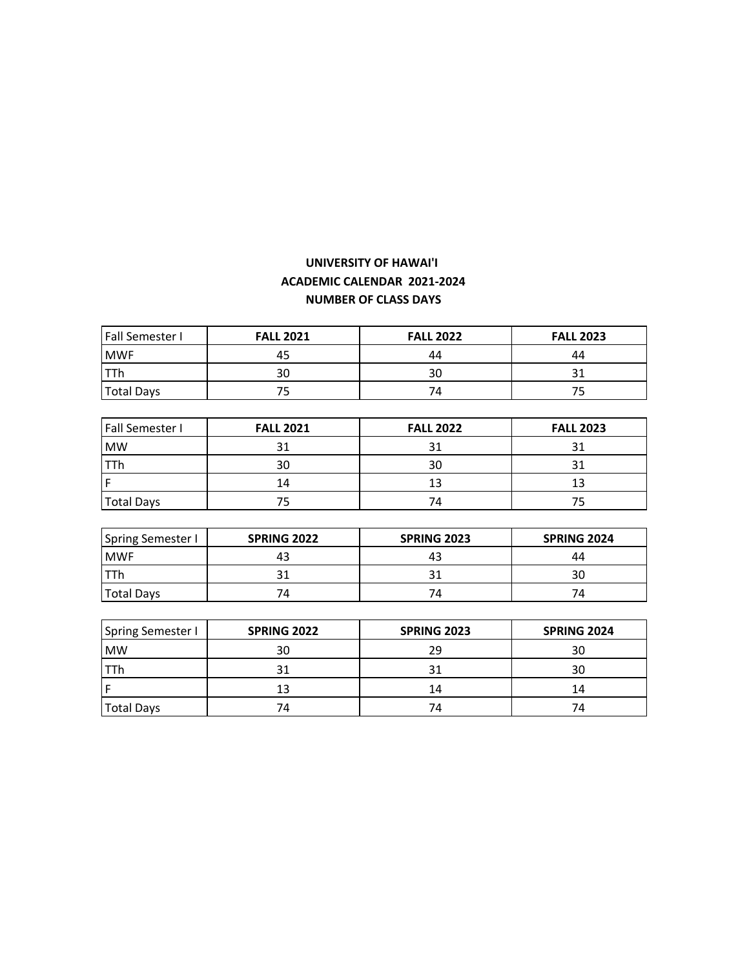## **UNIVERSITY OF HAWAI'I ACADEMIC CALENDAR 2021-2024 NUMBER OF CLASS DAYS**

| <b>Fall Semester I</b> | <b>FALL 2021</b> | <b>FALL 2022</b> | <b>FALL 2023</b> |
|------------------------|------------------|------------------|------------------|
| <b>MWF</b>             | 45               | 44               | 44               |
|                        | 30               | 30               |                  |
| <b>Total Days</b>      |                  | 74               |                  |

| <b>Fall Semester I</b> | <b>FALL 2021</b> | <b>FALL 2022</b> | <b>FALL 2023</b> |
|------------------------|------------------|------------------|------------------|
| <b>MW</b>              |                  |                  |                  |
|                        | 30               | 30               |                  |
|                        | 14               | 13               |                  |
| <b>Total Days</b>      |                  | 74               |                  |

| <b>Spring Semester I</b> | <b>SPRING 2022</b> | <b>SPRING 2023</b> | <b>SPRING 2024</b> |
|--------------------------|--------------------|--------------------|--------------------|
| <b>MWF</b>               | 43                 |                    | 44                 |
|                          |                    |                    |                    |
| <b>Total Days</b>        | 74                 | 74                 | 74                 |

| <b>Spring Semester I</b> | <b>SPRING 2022</b> | <b>SPRING 2023</b> | <b>SPRING 2024</b> |
|--------------------------|--------------------|--------------------|--------------------|
| <b>MW</b>                | 30                 | 29                 | 30                 |
| 11h                      | 31                 |                    | 30                 |
|                          | 13                 | 14                 | 14                 |
| <b>Total Days</b>        | 74                 | 74                 | 74                 |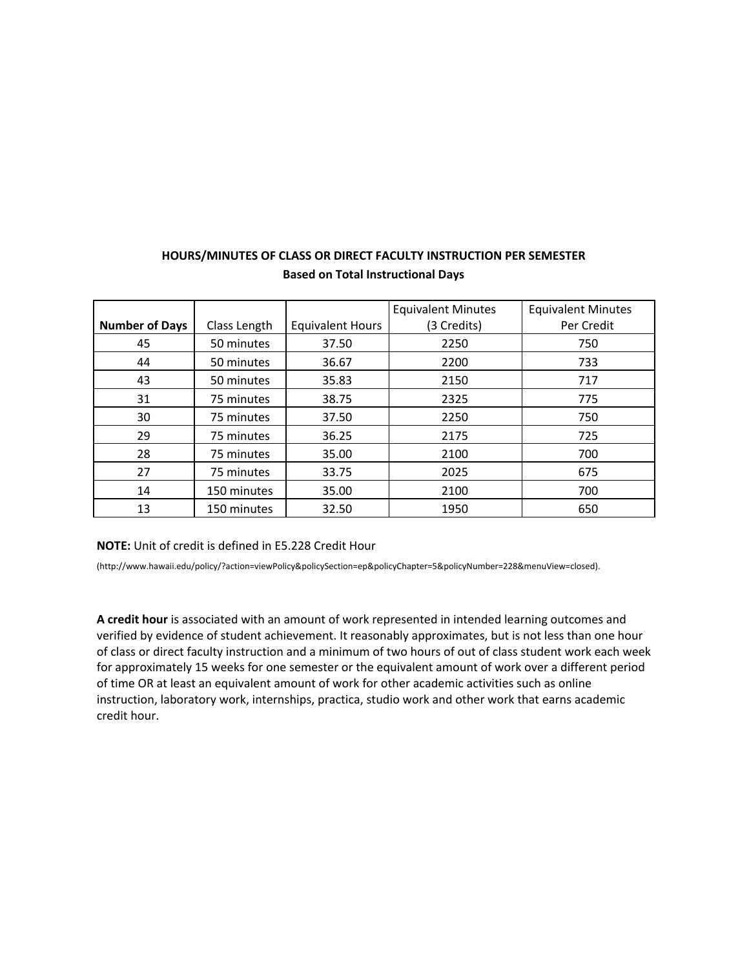|                       |              |                         | <b>Equivalent Minutes</b> | <b>Equivalent Minutes</b> |
|-----------------------|--------------|-------------------------|---------------------------|---------------------------|
| <b>Number of Days</b> | Class Length | <b>Equivalent Hours</b> | (3 Credits)               | Per Credit                |
| 45                    | 50 minutes   | 37.50                   | 2250                      | 750                       |
| 44                    | 50 minutes   | 36.67                   | 2200                      | 733                       |
| 43                    | 50 minutes   | 35.83                   | 2150                      | 717                       |
| 31                    | 75 minutes   | 38.75                   | 2325                      | 775                       |
| 30                    | 75 minutes   | 37.50                   | 2250                      | 750                       |
| 29                    | 75 minutes   | 36.25                   | 2175                      | 725                       |
| 28                    | 75 minutes   | 35.00                   | 2100                      | 700                       |
| 27                    | 75 minutes   | 33.75                   | 2025                      | 675                       |
| 14                    | 150 minutes  | 35.00                   | 2100                      | 700                       |
| 13                    | 150 minutes  | 32.50                   | 1950                      | 650                       |

### **HOURS/MINUTES OF CLASS OR DIRECT FACULTY INSTRUCTION PER SEMESTER Based on Total Instructional Days**

#### **NOTE:** Unit of credit is defined in E5.228 Credit Hour

(http://www.hawaii.edu/policy/?action=viewPolicy&policySection=ep&policyChapter=5&policyNumber=228&menuView=closed).

**A credit hour** is associated with an amount of work represented in intended learning outcomes and verified by evidence of student achievement. It reasonably approximates, but is not less than one hour of class or direct faculty instruction and a minimum of two hours of out of class student work each week for approximately 15 weeks for one semester or the equivalent amount of work over a different period of time OR at least an equivalent amount of work for other academic activities such as online instruction, laboratory work, internships, practica, studio work and other work that earns academic credit hour.